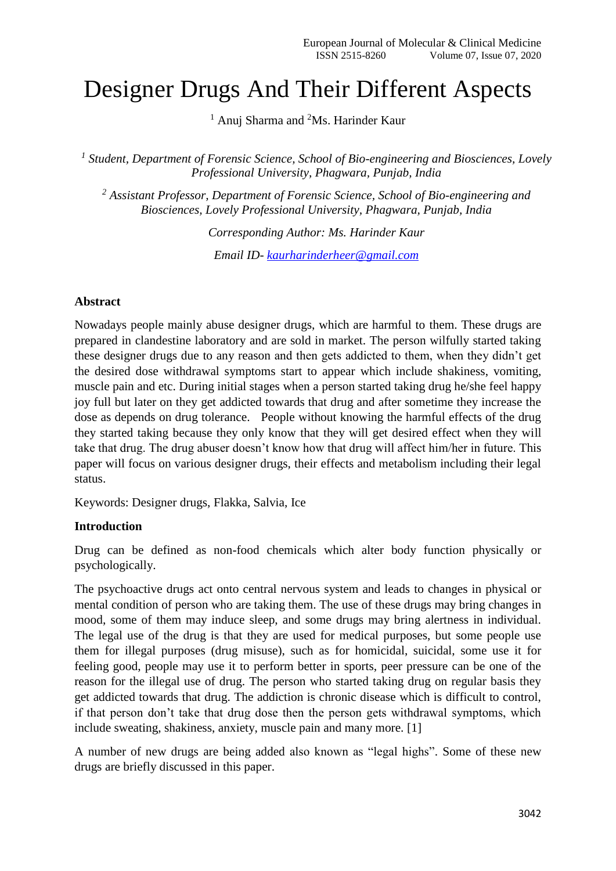# Designer Drugs And Their Different Aspects

 $<sup>1</sup>$  Anuj Sharma and <sup>2</sup>Ms. Harinder Kaur</sup>

<sup>1</sup> Student, Department of Forensic Science, School of Bio-engineering and Biosciences, Lovely *Professional University, Phagwara, Punjab, India*

*<sup>2</sup> Assistant Professor, Department of Forensic Science, School of Bio-engineering and Biosciences, Lovely Professional University, Phagwara, Punjab, India*

> *Corresponding Author: Ms. Harinder Kaur Email ID- [kaurharinderheer@gmail.com](mailto:kaurharinderheer@gmail.com)*

#### **Abstract**

Nowadays people mainly abuse designer drugs, which are harmful to them. These drugs are prepared in clandestine laboratory and are sold in market. The person wilfully started taking these designer drugs due to any reason and then gets addicted to them, when they didn't get the desired dose withdrawal symptoms start to appear which include shakiness, vomiting, muscle pain and etc. During initial stages when a person started taking drug he/she feel happy joy full but later on they get addicted towards that drug and after sometime they increase the dose as depends on drug tolerance. People without knowing the harmful effects of the drug they started taking because they only know that they will get desired effect when they will take that drug. The drug abuser doesn't know how that drug will affect him/her in future. This paper will focus on various designer drugs, their effects and metabolism including their legal status.

Keywords: Designer drugs, Flakka, Salvia, Ice

### **Introduction**

Drug can be defined as non-food chemicals which alter body function physically or psychologically.

The psychoactive drugs act onto central nervous system and leads to changes in physical or mental condition of person who are taking them. The use of these drugs may bring changes in mood, some of them may induce sleep, and some drugs may bring alertness in individual. The legal use of the drug is that they are used for medical purposes, but some people use them for illegal purposes (drug misuse), such as for homicidal, suicidal, some use it for feeling good, people may use it to perform better in sports, peer pressure can be one of the reason for the illegal use of drug. The person who started taking drug on regular basis they get addicted towards that drug. The addiction is chronic disease which is difficult to control, if that person don't take that drug dose then the person gets withdrawal symptoms, which include sweating, shakiness, anxiety, muscle pain and many more. [1]

A number of new drugs are being added also known as "legal highs". Some of these new drugs are briefly discussed in this paper.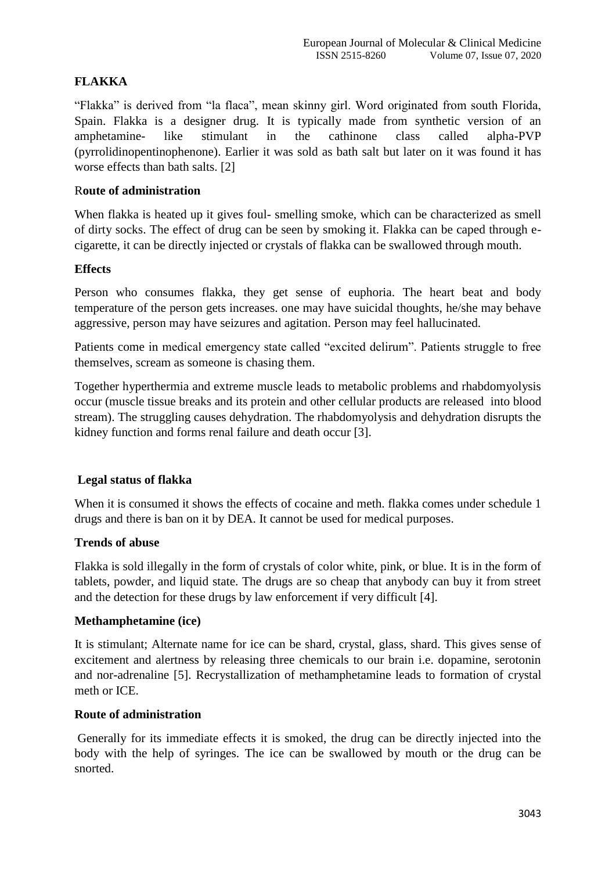# **FLAKKA**

"Flakka" is derived from "la flaca", mean skinny girl. Word originated from south Florida, Spain. Flakka is a designer drug. It is typically made from synthetic version of an amphetamine- like stimulant in the cathinone class called alpha-PVP (pyrrolidinopentinophenone). Earlier it was sold as bath salt but later on it was found it has worse effects than bath salts. [2]

# R**oute of administration**

When flakka is heated up it gives foul- smelling smoke, which can be characterized as smell of dirty socks. The effect of drug can be seen by smoking it. Flakka can be caped through ecigarette, it can be directly injected or crystals of flakka can be swallowed through mouth.

# **Effects**

Person who consumes flakka, they get sense of euphoria. The heart beat and body temperature of the person gets increases. one may have suicidal thoughts, he/she may behave aggressive, person may have seizures and agitation. Person may feel hallucinated.

Patients come in medical emergency state called "excited delirum". Patients struggle to free themselves, scream as someone is chasing them.

Together hyperthermia and extreme muscle leads to metabolic problems and rhabdomyolysis occur (muscle tissue breaks and its protein and other cellular products are released into blood stream). The struggling causes dehydration. The rhabdomyolysis and dehydration disrupts the kidney function and forms renal failure and death occur [3].

# **Legal status of flakka**

When it is consumed it shows the effects of cocaine and meth. flakka comes under schedule 1 drugs and there is ban on it by DEA. It cannot be used for medical purposes.

# **Trends of abuse**

Flakka is sold illegally in the form of crystals of color white, pink, or blue. It is in the form of tablets, powder, and liquid state. The drugs are so cheap that anybody can buy it from street and the detection for these drugs by law enforcement if very difficult [4].

# **Methamphetamine (ice)**

It is stimulant; Alternate name for ice can be shard, crystal, glass, shard. This gives sense of excitement and alertness by releasing three chemicals to our brain i.e. dopamine, serotonin and nor-adrenaline [5]. Recrystallization of methamphetamine leads to formation of crystal meth or ICE.

# **Route of administration**

Generally for its immediate effects it is smoked, the drug can be directly injected into the body with the help of syringes. The ice can be swallowed by mouth or the drug can be snorted.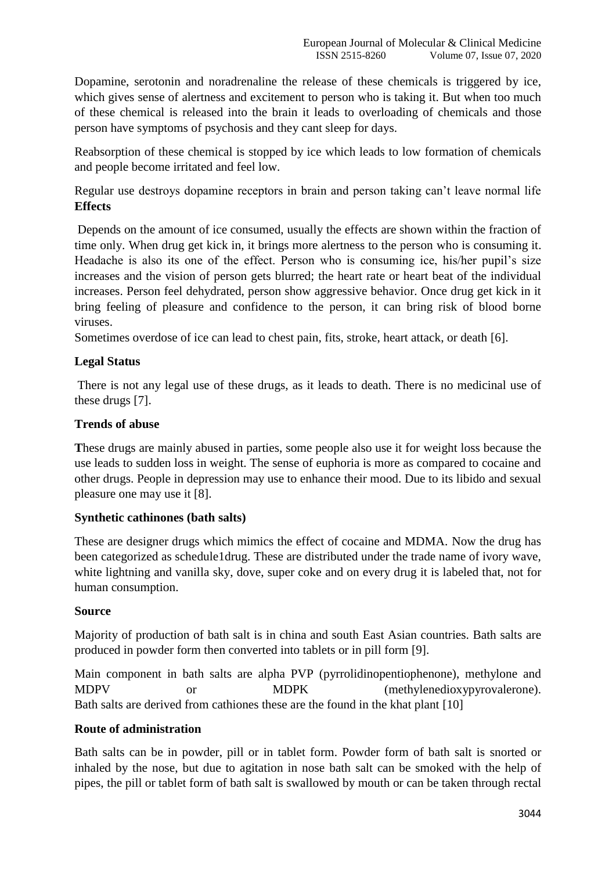Dopamine, serotonin and noradrenaline the release of these chemicals is triggered by ice, which gives sense of alertness and excitement to person who is taking it. But when too much of these chemical is released into the brain it leads to overloading of chemicals and those person have symptoms of psychosis and they cant sleep for days.

Reabsorption of these chemical is stopped by ice which leads to low formation of chemicals and people become irritated and feel low.

Regular use destroys dopamine receptors in brain and person taking can't leave normal life **Effects**

Depends on the amount of ice consumed, usually the effects are shown within the fraction of time only. When drug get kick in, it brings more alertness to the person who is consuming it. Headache is also its one of the effect. Person who is consuming ice, his/her pupil's size increases and the vision of person gets blurred; the heart rate or heart beat of the individual increases. Person feel dehydrated, person show aggressive behavior. Once drug get kick in it bring feeling of pleasure and confidence to the person, it can bring risk of blood borne viruses.

Sometimes overdose of ice can lead to chest pain, fits, stroke, heart attack, or death [6].

# **Legal Status**

There is not any legal use of these drugs, as it leads to death. There is no medicinal use of these drugs [7].

### **Trends of abuse**

**T**hese drugs are mainly abused in parties, some people also use it for weight loss because the use leads to sudden loss in weight. The sense of euphoria is more as compared to cocaine and other drugs. People in depression may use to enhance their mood. Due to its libido and sexual pleasure one may use it [8].

#### **Synthetic cathinones (bath salts)**

These are designer drugs which mimics the effect of cocaine and MDMA. Now the drug has been categorized as schedule1drug. These are distributed under the trade name of ivory wave, white lightning and vanilla sky, dove, super coke and on every drug it is labeled that, not for human consumption.

#### **Source**

Majority of production of bath salt is in china and south East Asian countries. Bath salts are produced in powder form then converted into tablets or in pill form [9].

Main component in bath salts are alpha PVP (pyrrolidinopentiophenone), methylone and MDPV or MDPK (methylenedioxypyrovalerone). Bath salts are derived from cathiones these are the found in the khat plant [10]

#### **Route of administration**

Bath salts can be in powder, pill or in tablet form. Powder form of bath salt is snorted or inhaled by the nose, but due to agitation in nose bath salt can be smoked with the help of pipes, the pill or tablet form of bath salt is swallowed by mouth or can be taken through rectal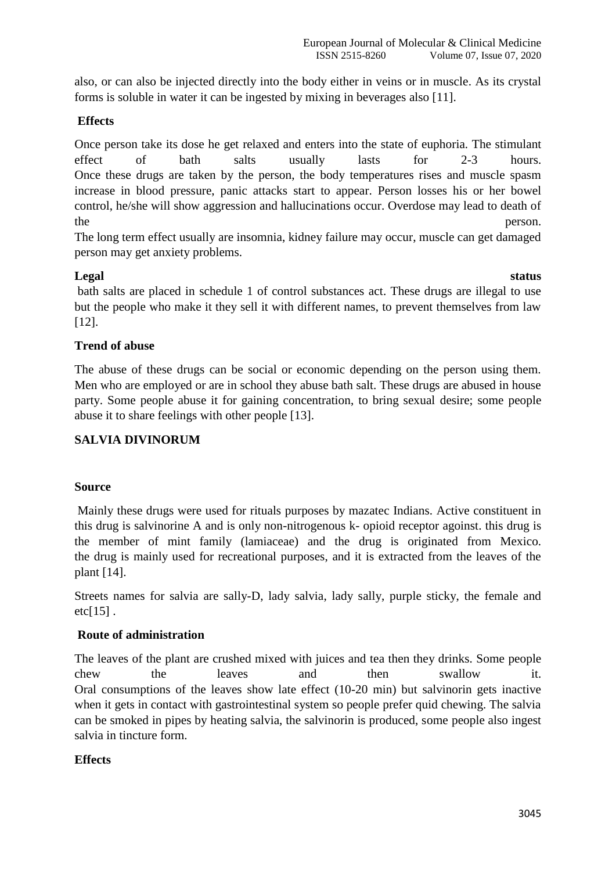also, or can also be injected directly into the body either in veins or in muscle. As its crystal forms is soluble in water it can be ingested by mixing in beverages also [11].

# **Effects**

Once person take its dose he get relaxed and enters into the state of euphoria. The stimulant effect of bath salts usually lasts for 2-3 hours. Once these drugs are taken by the person, the body temperatures rises and muscle spasm increase in blood pressure, panic attacks start to appear. Person losses his or her bowel control, he/she will show aggression and hallucinations occur. Overdose may lead to death of the person.

The long term effect usually are insomnia, kidney failure may occur, muscle can get damaged person may get anxiety problems.

# **Legal status**

bath salts are placed in schedule 1 of control substances act. These drugs are illegal to use but the people who make it they sell it with different names, to prevent themselves from law [12].

# **Trend of abuse**

The abuse of these drugs can be social or economic depending on the person using them. Men who are employed or are in school they abuse bath salt. These drugs are abused in house party. Some people abuse it for gaining concentration, to bring sexual desire; some people abuse it to share feelings with other people [13].

# **SALVIA DIVINORUM**

#### **Source**

Mainly these drugs were used for rituals purposes by mazatec Indians. Active constituent in this drug is salvinorine A and is only non-nitrogenous k- opioid receptor agoinst. this drug is the member of mint family (lamiaceae) and the drug is originated from Mexico. the drug is mainly used for recreational purposes, and it is extracted from the leaves of the plant [14].

Streets names for salvia are sally-D, lady salvia, lady sally, purple sticky, the female and  $etc[15]$ .

#### **Route of administration**

The leaves of the plant are crushed mixed with juices and tea then they drinks. Some people chew the leaves and then swallow it. Oral consumptions of the leaves show late effect (10-20 min) but salvinorin gets inactive when it gets in contact with gastrointestinal system so people prefer quid chewing. The salvia can be smoked in pipes by heating salvia, the salvinorin is produced, some people also ingest salvia in tincture form.

# **Effects**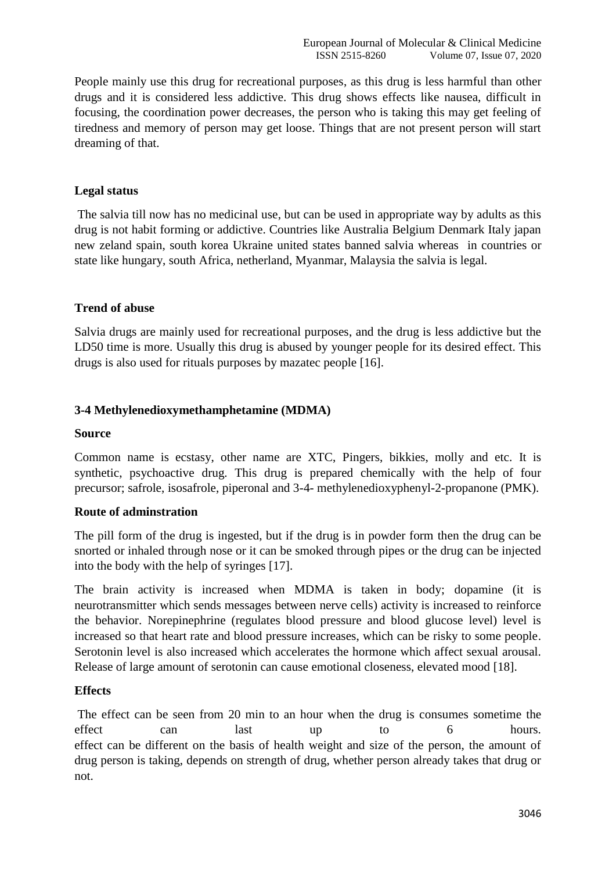People mainly use this drug for recreational purposes, as this drug is less harmful than other drugs and it is considered less addictive. This drug shows effects like nausea, difficult in focusing, the coordination power decreases, the person who is taking this may get feeling of tiredness and memory of person may get loose. Things that are not present person will start dreaming of that.

# **Legal status**

The salvia till now has no medicinal use, but can be used in appropriate way by adults as this drug is not habit forming or addictive. Countries like Australia Belgium Denmark Italy japan new zeland spain, south korea Ukraine united states banned salvia whereas in countries or state like hungary, south Africa, netherland, Myanmar, Malaysia the salvia is legal.

#### **Trend of abuse**

Salvia drugs are mainly used for recreational purposes, and the drug is less addictive but the LD50 time is more. Usually this drug is abused by younger people for its desired effect. This drugs is also used for rituals purposes by mazatec people [16].

#### **3-4 Methylenedioxymethamphetamine (MDMA)**

#### **Source**

Common name is ecstasy, other name are XTC, Pingers, bikkies, molly and etc. It is synthetic, psychoactive drug. This drug is prepared chemically with the help of four precursor; safrole, isosafrole, piperonal and 3-4- methylenedioxyphenyl-2-propanone (PMK).

#### **Route of adminstration**

The pill form of the drug is ingested, but if the drug is in powder form then the drug can be snorted or inhaled through nose or it can be smoked through pipes or the drug can be injected into the body with the help of syringes [17].

The brain activity is increased when MDMA is taken in body; dopamine (it is neurotransmitter which sends messages between nerve cells) activity is increased to reinforce the behavior. Norepinephrine (regulates blood pressure and blood glucose level) level is increased so that heart rate and blood pressure increases, which can be risky to some people. Serotonin level is also increased which accelerates the hormone which affect sexual arousal. Release of large amount of serotonin can cause emotional closeness, elevated mood [18].

#### **Effects**

The effect can be seen from 20 min to an hour when the drug is consumes sometime the effect can last up to 6 hours. effect can be different on the basis of health weight and size of the person, the amount of drug person is taking, depends on strength of drug, whether person already takes that drug or not.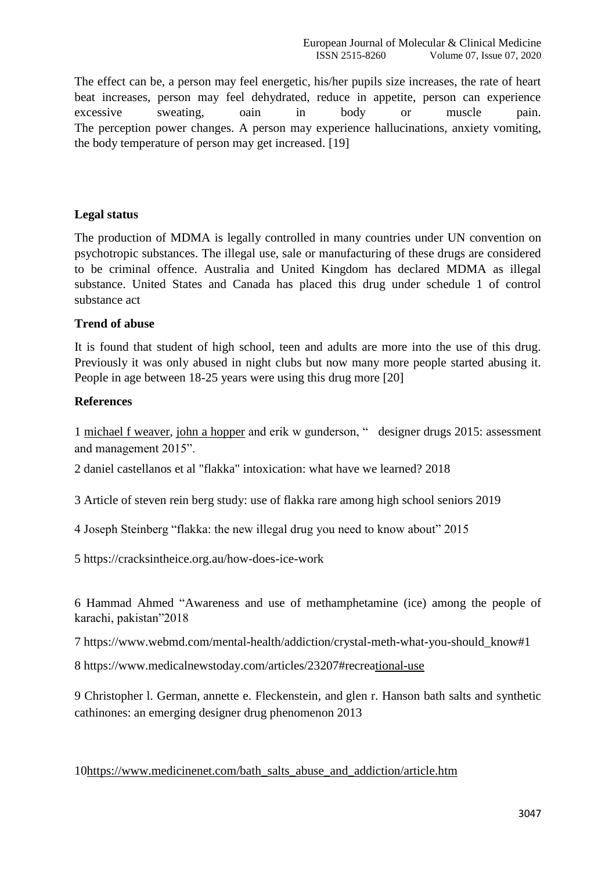The effect can be, a person may feel energetic, his/her pupils size increases, the rate of heart beat increases, person may feel dehydrated, reduce in appetite, person can experience excessive sweating, oain in body or muscle pain. The perception power changes. A person may experience hallucinations, anxiety vomiting, the body temperature of person may get increased. [19]

# **Legal status**

The production of MDMA is legally controlled in many countries under UN convention on psychotropic substances. The illegal use, sale or manufacturing of these drugs are considered to be criminal offence. Australia and United Kingdom has declared MDMA as illegal substance. United States and Canada has placed this drug under schedule 1 of control substance act

#### **Trend of abuse**

It is found that student of high school, teen and adults are more into the use of this drug. Previously it was only abused in night clubs but now many more people started abusing it. People in age between 18-25 years were using this drug more [20]

# **References**

1 [michael f weaver,](https://www.ncbi.nlm.nih.gov/pubmed/?term=Weaver%20MF%5BAuthor%5D&cauthor=true&cauthor_uid=25928069) [john a hopper](https://www.ncbi.nlm.nih.gov/pubmed/?term=Hopper%20JA%5BAuthor%5D&cauthor=true&cauthor_uid=25928069) and erik w gunderson, " designer drugs 2015: assessment and management 2015".

2 daniel castellanos et al "flakka" intoxication: what have we learned? 2018

3 Article of steven rein berg study: use of flakka rare among high school seniors 2019

4 Joseph Steinberg "flakka: the new illegal drug you need to know about" 2015

5<https://cracksintheice.org.au/how-does-ice-work>

6 Hammad Ahmed "Awareness and use of methamphetamine (ice) among the people of karachi, pakistan"2018

7 [https://www.webmd.com/mental-health/addiction/crystal-meth-what-you-should\\_know#1](https://www.webmd.com/mental-health/addiction/crystal-meth-what-you-should_know#1)

8<https://www.medicalnewstoday.com/articles/23207#recreational-use>

9 [Christopher l. German,](https://www.ncbi.nlm.nih.gov/pubmed/?term=German%20CL%5BAuthor%5D&cauthor=true&cauthor_uid=23911668) [annette e. Fleckenstein,](https://www.ncbi.nlm.nih.gov/pubmed/?term=Fleckenstein%20AE%5BAuthor%5D&cauthor=true&cauthor_uid=23911668) and [glen r. Hanson](https://www.ncbi.nlm.nih.gov/pubmed/?term=Hanson%20GR%5BAuthor%5D&cauthor=true&cauthor_uid=23911668) bath salts and synthetic cathinones: an emerging designer drug phenomenon 2013

1[0https://www.medicinenet.com/bath\\_salts\\_abuse\\_and\\_addiction/article.htm](https://www.medicinenet.com/bath_salts_abuse_and_addiction/article.htm)